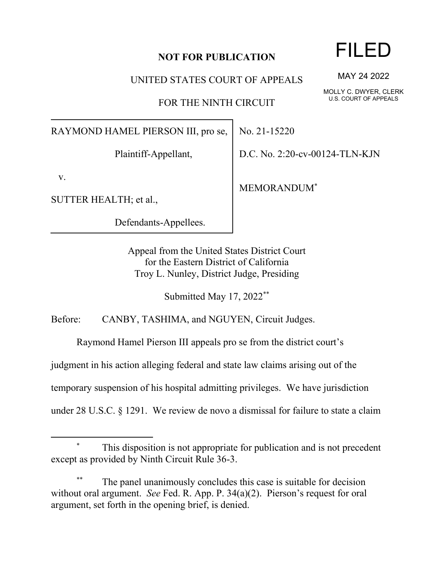## **NOT FOR PUBLICATION**

UNITED STATES COURT OF APPEALS

FOR THE NINTH CIRCUIT

RAYMOND HAMEL PIERSON III, pro se,

Plaintiff-Appellant,

v.

SUTTER HEALTH; et al.,

Defendants-Appellees.

No. 21-15220

D.C. No. 2:20-cv-00124-TLN-KJN

MEMORANDUM\*

Appeal from the United States District Court for the Eastern District of California Troy L. Nunley, District Judge, Presiding

Submitted May 17, 2022\*\*

Before: CANBY, TASHIMA, and NGUYEN, Circuit Judges.

Raymond Hamel Pierson III appeals pro se from the district court's

judgment in his action alleging federal and state law claims arising out of the

temporary suspension of his hospital admitting privileges. We have jurisdiction

under 28 U.S.C. § 1291. We review de novo a dismissal for failure to state a claim

## This disposition is not appropriate for publication and is not precedent except as provided by Ninth Circuit Rule 36-3.

The panel unanimously concludes this case is suitable for decision without oral argument. *See* Fed. R. App. P. 34(a)(2). Pierson's request for oral argument, set forth in the opening brief, is denied.

## FILED

MAY 24 2022

MOLLY C. DWYER, CLERK U.S. COURT OF APPEALS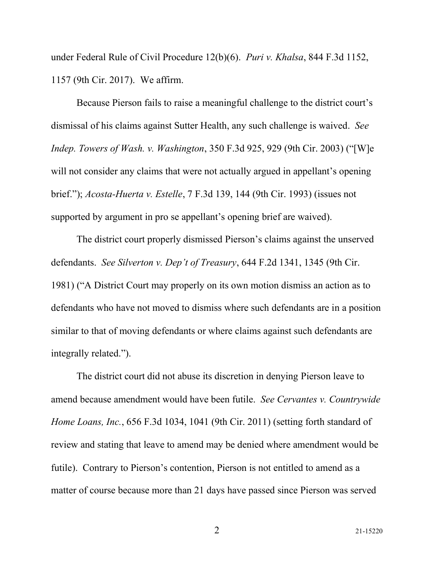under Federal Rule of Civil Procedure 12(b)(6). *Puri v. Khalsa*, 844 F.3d 1152, 1157 (9th Cir. 2017). We affirm.

Because Pierson fails to raise a meaningful challenge to the district court's dismissal of his claims against Sutter Health, any such challenge is waived. *See Indep. Towers of Wash. v. Washington*, 350 F.3d 925, 929 (9th Cir. 2003) ("[W]e will not consider any claims that were not actually argued in appellant's opening brief."); *Acosta-Huerta v. Estelle*, 7 F.3d 139, 144 (9th Cir. 1993) (issues not supported by argument in pro se appellant's opening brief are waived).

The district court properly dismissed Pierson's claims against the unserved defendants. *See Silverton v. Dep't of Treasury*, 644 F.2d 1341, 1345 (9th Cir. 1981) ("A District Court may properly on its own motion dismiss an action as to defendants who have not moved to dismiss where such defendants are in a position similar to that of moving defendants or where claims against such defendants are integrally related.").

The district court did not abuse its discretion in denying Pierson leave to amend because amendment would have been futile. *See Cervantes v. Countrywide Home Loans, Inc.*, 656 F.3d 1034, 1041 (9th Cir. 2011) (setting forth standard of review and stating that leave to amend may be denied where amendment would be futile). Contrary to Pierson's contention, Pierson is not entitled to amend as a matter of course because more than 21 days have passed since Pierson was served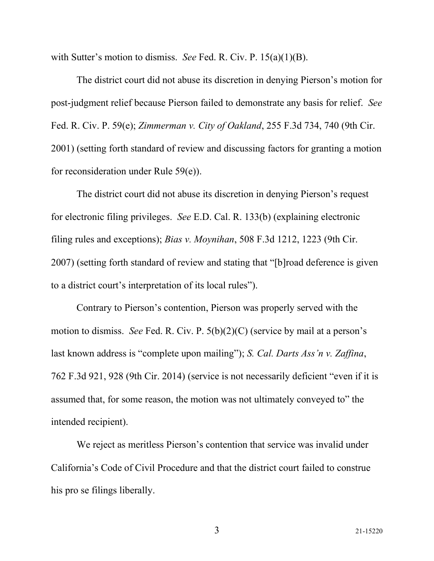with Sutter's motion to dismiss. *See* Fed. R. Civ. P. 15(a)(1)(B).

The district court did not abuse its discretion in denying Pierson's motion for post-judgment relief because Pierson failed to demonstrate any basis for relief. *See* Fed. R. Civ. P. 59(e); *Zimmerman v. City of Oakland*, 255 F.3d 734, 740 (9th Cir. 2001) (setting forth standard of review and discussing factors for granting a motion for reconsideration under Rule 59(e)).

The district court did not abuse its discretion in denying Pierson's request for electronic filing privileges. *See* E.D. Cal. R. 133(b) (explaining electronic filing rules and exceptions); *Bias v. Moynihan*, 508 F.3d 1212, 1223 (9th Cir. 2007) (setting forth standard of review and stating that "[b]road deference is given to a district court's interpretation of its local rules").

Contrary to Pierson's contention, Pierson was properly served with the motion to dismiss. *See* Fed. R. Civ. P. 5(b)(2)(C) (service by mail at a person's last known address is "complete upon mailing"); *S. Cal. Darts Ass'n v. Zaffina*, 762 F.3d 921, 928 (9th Cir. 2014) (service is not necessarily deficient "even if it is assumed that, for some reason, the motion was not ultimately conveyed to" the intended recipient).

We reject as meritless Pierson's contention that service was invalid under California's Code of Civil Procedure and that the district court failed to construe his pro se filings liberally.